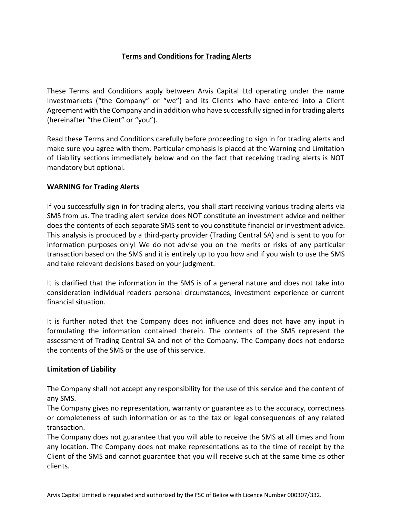# **Terms and Conditions for Trading Alerts**

These Terms and Conditions apply between Arvis Capital Ltd operating under the name Investmarkets ("the Company" or "we") and its Clients who have entered into a Client Agreement with the Company and in addition who have successfully signed in for trading alerts (hereinafter "the Client" or "you").

Read these Terms and Conditions carefully before proceeding to sign in for trading alerts and make sure you agree with them. Particular emphasis is placed at the Warning and Limitation of Liability sections immediately below and on the fact that receiving trading alerts is NOT mandatory but optional.

## **WARNING for Trading Alerts**

If you successfully sign in for trading alerts, you shall start receiving various trading alerts via SMS from us. The trading alert service does NOT constitute an investment advice and neither does the contents of each separate SMS sent to you constitute financial or investment advice. This analysis is produced by a third-party provider (Trading Central SA) and is sent to you for information purposes only! We do not advise you on the merits or risks of any particular transaction based on the SMS and it is entirely up to you how and if you wish to use the SMS and take relevant decisions based on your judgment.

It is clarified that the information in the SMS is of a general nature and does not take into consideration individual readers personal circumstances, investment experience or current financial situation.

It is further noted that the Company does not influence and does not have any input in formulating the information contained therein. The contents of the SMS represent the assessment of Trading Central SA and not of the Company. The Company does not endorse the contents of the SMS or the use of this service.

## **Limitation of Liability**

The Company shall not accept any responsibility for the use of this service and the content of any SMS.

The Company gives no representation, warranty or guarantee as to the accuracy, correctness or completeness of such information or as to the tax or legal consequences of any related transaction.

The Company does not guarantee that you will able to receive the SMS at all times and from any location. The Company does not make representations as to the time of receipt by the Client of the SMS and cannot guarantee that you will receive such at the same time as other clients.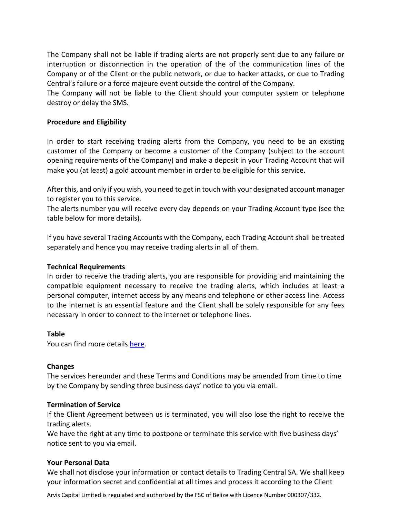The Company shall not be liable if trading alerts are not properly sent due to any failure or interruption or disconnection in the operation of the of the communication lines of the Company or of the Client or the public network, or due to hacker attacks, or due to Trading Central's failure or a force majeure event outside the control of the Company.

The Company will not be liable to the Client should your computer system or telephone destroy or delay the SMS.

## **Procedure and Eligibility**

In order to start receiving trading alerts from the Company, you need to be an existing customer of the Company or become a customer of the Company (subject to the account opening requirements of the Company) and make a deposit in your Trading Account that will make you (at least) a gold account member in order to be eligible for this service.

After this, and only if you wish, you need to get in touch with your designated account manager to register you to this service.

The alerts number you will receive every day depends on your Trading Account type (see the table below for more details).

If you have several Trading Accounts with the Company, each Trading Account shall be treated separately and hence you may receive trading alerts in all of them.

## **Technical Requirements**

In order to receive the trading alerts, you are responsible for providing and maintaining the compatible equipment necessary to receive the trading alerts, which includes at least a personal computer, internet access by any means and telephone or other access line. Access to the internet is an essential feature and the Client shall be solely responsible for any fees necessary in order to connect to the internet or telephone lines.

## **Table**

You can find more details [here.](https://www.investmarkets.com/international/account-types)

## **Changes**

The services hereunder and these Terms and Conditions may be amended from time to time by the Company by sending three business days' notice to you via email.

#### **Termination of Service**

If the Client Agreement between us is terminated, you will also lose the right to receive the trading alerts.

We have the right at any time to postpone or terminate this service with five business days' notice sent to you via email.

## **Your Personal Data**

We shall not disclose your information or contact details to Trading Central SA. We shall keep your information secret and confidential at all times and process it according to the Client

Arvis Capital Limited is regulated and authorized by the FSC of Belize with Licence Number 000307/332.